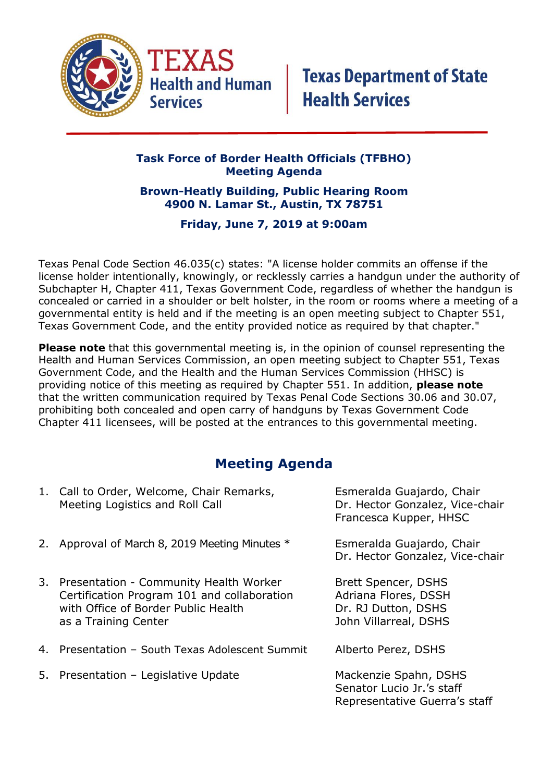

### **Task Force of Border Health Officials (TFBHO) Meeting Agenda**

#### **Brown-Heatly Building, Public Hearing Room 4900 N. Lamar St., Austin, TX 78751**

### **Friday, June 7, 2019 at 9:00am**

Texas Penal Code Section 46.035(c) states: "A license holder commits an offense if the license holder intentionally, knowingly, or recklessly carries a handgun under the authority of Subchapter H, Chapter 411, Texas Government Code, regardless of whether the handgun is concealed or carried in a shoulder or belt holster, in the room or rooms where a meeting of a governmental entity is held and if the meeting is an open meeting subject to Chapter 551, Texas Government Code, and the entity provided notice as required by that chapter."

**Please note** that this governmental meeting is, in the opinion of counsel representing the Health and Human Services Commission, an open meeting subject to Chapter 551, Texas Government Code, and the Health and the Human Services Commission (HHSC) is providing notice of this meeting as required by Chapter 551. In addition, **please note**  that the written communication required by Texas Penal Code Sections 30.06 and 30.07, prohibiting both concealed and open carry of handguns by Texas Government Code Chapter 411 licensees, will be posted at the entrances to this governmental meeting.

## **Meeting Agenda**

| 1. Call to Order, Welcome, Chair Remarks,<br>Meeting Logistics and Roll Call                                                                            | Esmeralda Guajardo, Chair<br>Dr. Hector Gonzalez, Vice-chair<br>Francesca Kupper, HHSC      |
|---------------------------------------------------------------------------------------------------------------------------------------------------------|---------------------------------------------------------------------------------------------|
| 2. Approval of March 8, 2019 Meeting Minutes *                                                                                                          | Esmeralda Guajardo, Chair<br>Dr. Hector Gonzalez, Vice-chair                                |
| 3. Presentation - Community Health Worker<br>Certification Program 101 and collaboration<br>with Office of Border Public Health<br>as a Training Center | Brett Spencer, DSHS<br>Adriana Flores, DSSH<br>Dr. RJ Dutton, DSHS<br>John Villarreal, DSHS |
| 4. Presentation - South Texas Adolescent Summit                                                                                                         | Alberto Perez, DSHS                                                                         |
| 5. Presentation - Legislative Update                                                                                                                    | Mackenzie Spahn, DSHS<br>Senator Lucio Jr.'s staff<br>Representative Guerra's staff         |